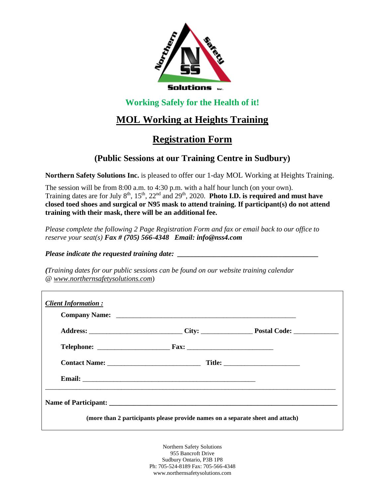

## **Working Safely for the Health of it!**

# **MOL Working at Heights Training**

# **Registration Form**

## **(Public Sessions at our Training Centre in Sudbury)**

**Northern Safety Solutions Inc.** is pleased to offer our 1-day MOL Working at Heights Training.

The session will be from 8:00 a.m. to 4:30 p.m. with a half hour lunch (on your own). Training dates are for July 8<sup>th</sup>, 15<sup>th</sup>, 22<sup>nd</sup> and 29<sup>th</sup>, 2020. **Photo I.D. is required and must have closed toed shoes and surgical or N95 mask to attend training. If participant(s) do not attend training with their mask, there will be an additional fee.** 

*Please complete the following 2 Page Registration Form and fax or email back to our office to reserve your seat(s) Fax # (705) 566-4348 Email: info@nss4.com*

*Please indicate the requested training date:* 

*(Training dates for our public sessions can be found on our website training calendar @ www.northernsafetysolutions.com*)

| <b>Client Information:</b> |                                                                                                                                                                                                                                      |  |
|----------------------------|--------------------------------------------------------------------------------------------------------------------------------------------------------------------------------------------------------------------------------------|--|
|                            |                                                                                                                                                                                                                                      |  |
|                            |                                                                                                                                                                                                                                      |  |
|                            |                                                                                                                                                                                                                                      |  |
|                            | Email: <u>Department of the contract of the contract of the contract of the contract of the contract of the contract of the contract of the contract of the contract of the contract of the contract of the contract of the cont</u> |  |
|                            |                                                                                                                                                                                                                                      |  |
|                            | (more than 2 participants please provide names on a separate sheet and attach)                                                                                                                                                       |  |

Northern Safety Solutions 955 Bancroft Drive Sudbury Ontario, P3B 1P8 Ph: 705-524-8189 Fax: 705-566-4348 www.northernsafetysolutions.com